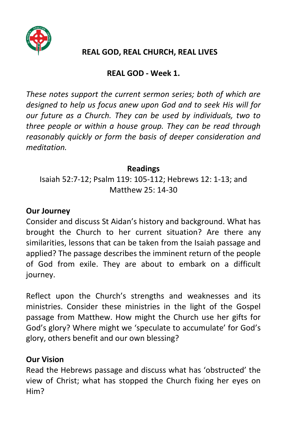

## **REAL GOD, REAL CHURCH, REAL LIVES**

# **REAL GOD - Week 1.**

*These notes support the current sermon series; both of which are designed to help us focus anew upon God and to seek His will for our future as a Church. They can be used by individuals, two to three people or within a house group. They can be read through reasonably quickly or form the basis of deeper consideration and meditation.*

### **Readings**

Isaiah 52:7-12; Psalm 119: 105-112; Hebrews 12: 1-13; and Matthew 25: 14-30

## **Our Journey**

Consider and discuss St Aidan's history and background. What has brought the Church to her current situation? Are there any similarities, lessons that can be taken from the Isaiah passage and applied? The passage describes the imminent return of the people of God from exile. They are about to embark on a difficult journey.

Reflect upon the Church's strengths and weaknesses and its ministries. Consider these ministries in the light of the Gospel passage from Matthew. How might the Church use her gifts for God's glory? Where might we 'speculate to accumulate' for God's glory, others benefit and our own blessing?

#### **Our Vision**

Read the Hebrews passage and discuss what has 'obstructed' the view of Christ; what has stopped the Church fixing her eyes on Him?